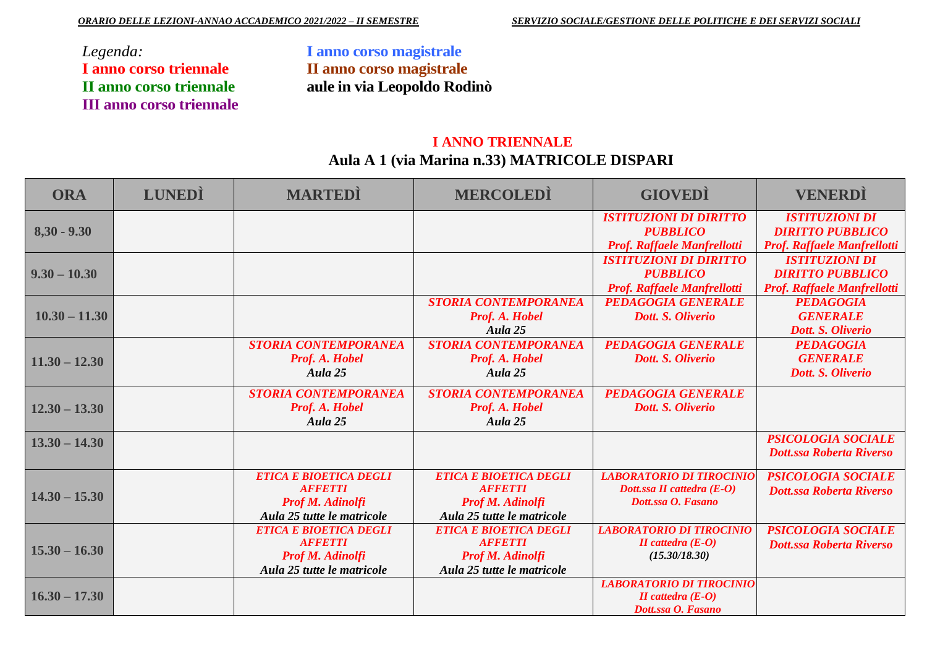*Legenda:* **I anno corso triennale II anno corso triennale III anno corso triennale**  **I anno corso magistrale II anno corso magistrale aule in via Leopoldo Rodinò**

## **I ANNO TRIENNALE Aula A 1 (via Marina n.33) MATRICOLE DISPARI**

| <b>ORA</b>      | <b>LUNEDI</b> | <b>MARTEDI</b>                | <b>MERCOLEDI</b>              | <b>GIOVEDI</b>                            | <b>VENERDÌ</b>                     |
|-----------------|---------------|-------------------------------|-------------------------------|-------------------------------------------|------------------------------------|
|                 |               |                               |                               | <b>ISTITUZIONI DI DIRITTO</b>             | <b>ISTITUZIONI DI</b>              |
| $8,30 - 9.30$   |               |                               |                               | <b>PUBBLICO</b>                           | <b>DIRITTO PUBBLICO</b>            |
|                 |               |                               |                               | Prof. Raffaele Manfrellotti               | <b>Prof. Raffaele Manfrellotti</b> |
|                 |               |                               |                               | <b>ISTITUZIONI DI DIRITTO</b>             | <b>ISTITUZIONI DI</b>              |
| $9.30 - 10.30$  |               |                               |                               | <b>PUBBLICO</b>                           | <b>DIRITTO PUBBLICO</b>            |
|                 |               |                               |                               | Prof. Raffaele Manfrellotti               | <b>Prof. Raffaele Manfrellotti</b> |
|                 |               |                               | <b>STORIA CONTEMPORANEA</b>   | <b>PEDAGOGIA GENERALE</b>                 | <b>PEDAGOGIA</b>                   |
| $10.30 - 11.30$ |               |                               | Prof. A. Hobel                | Dott. S. Oliverio                         | <b>GENERALE</b>                    |
|                 |               |                               | Aula 25                       |                                           | Dott. S. Oliverio                  |
|                 |               | <b>STORIA CONTEMPORANEA</b>   | <b>STORIA CONTEMPORANEA</b>   | <b>PEDAGOGIA GENERALE</b>                 | <b>PEDAGOGIA</b>                   |
| $11.30 - 12.30$ |               | Prof. A. Hobel                | Prof. A. Hobel                | Dott. S. Oliverio                         | <b>GENERALE</b>                    |
|                 |               | Aula 25                       | Aula 25                       |                                           | Dott. S. Oliverio                  |
|                 |               | <b>STORIA CONTEMPORANEA</b>   | <b>STORIA CONTEMPORANEA</b>   | <b>PEDAGOGIA GENERALE</b>                 |                                    |
| $12.30 - 13.30$ |               | Prof. A. Hobel                | Prof. A. Hobel                | Dott. S. Oliverio                         |                                    |
|                 |               | Aula 25                       | Aula 25                       |                                           |                                    |
| $13.30 - 14.30$ |               |                               |                               |                                           | <b>PSICOLOGIA SOCIALE</b>          |
|                 |               |                               |                               |                                           | <b>Dott.ssa Roberta Riverso</b>    |
|                 |               |                               |                               |                                           |                                    |
|                 |               | ETICA E BIOETICA DEGLI        | <b>ETICA E BIOETICA DEGLI</b> | <b>LABORATORIO DI TIROCINIO</b>           | <b>PSICOLOGIA SOCIALE</b>          |
| $14.30 - 15.30$ |               | <b>AFFETTI</b>                | <b>AFFETTI</b>                | Dott.ssa II cattedra (E-O)                | <b>Dott.ssa Roberta Riverso</b>    |
|                 |               | <b>Prof M. Adinolfi</b>       | <b>Prof M. Adinolfi</b>       | Dott.ssa O. Fasano                        |                                    |
|                 |               | Aula 25 tutte le matricole    | Aula 25 tutte le matricole    |                                           |                                    |
|                 |               | <b>ETICA E BIOETICA DEGLI</b> | <b>ETICA E BIOETICA DEGLI</b> | <b>LABORATORIO DI TIROCINIO</b>           | <b>PSICOLOGIA SOCIALE</b>          |
| $15.30 - 16.30$ |               | <b>AFFETTI</b>                | <b>AFFETTI</b>                | $II$ cattedra $(E-O)$                     | <b>Dott.ssa Roberta Riverso</b>    |
|                 |               | Prof M. Adinolfi              | <b>Prof M. Adinolfi</b>       | (15.30/18.30)                             |                                    |
|                 |               | Aula 25 tutte le matricole    | Aula 25 tutte le matricole    |                                           |                                    |
|                 |               |                               |                               | <b>LABORATORIO DI TIROCINIO</b>           |                                    |
| $16.30 - 17.30$ |               |                               |                               | II cattedra $(E-0)$<br>Dott.ssa O. Fasano |                                    |
|                 |               |                               |                               |                                           |                                    |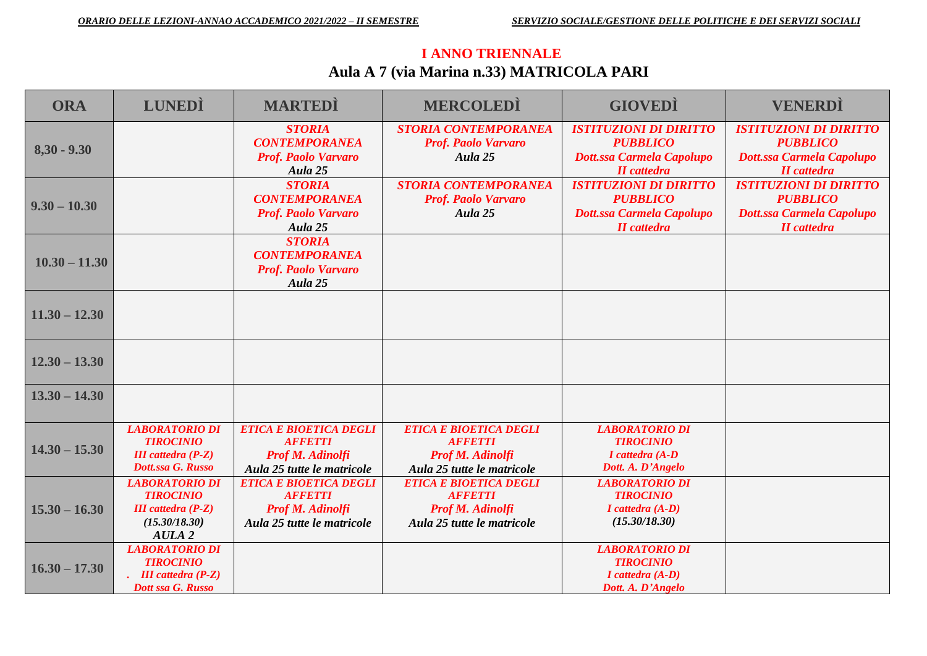# **I ANNO TRIENNALE Aula A 7 (via Marina n.33) MATRICOLA PARI**

| <b>ORA</b>      | <b>LUNEDI</b>                                                                                                  | <b>MARTEDI</b>                                                                                           | <b>MERCOLEDI</b>                                                                                         | <b>GIOVEDI</b>                                                                                             | <b>VENERDI</b>                                                                                             |
|-----------------|----------------------------------------------------------------------------------------------------------------|----------------------------------------------------------------------------------------------------------|----------------------------------------------------------------------------------------------------------|------------------------------------------------------------------------------------------------------------|------------------------------------------------------------------------------------------------------------|
| $8,30 - 9.30$   |                                                                                                                | <b>STORIA</b><br><b>CONTEMPORANEA</b><br><b>Prof. Paolo Varvaro</b><br>Aula 25                           | <b>STORIA CONTEMPORANEA</b><br><b>Prof. Paolo Varvaro</b><br>Aula 25                                     | <b>ISTITUZIONI DI DIRITTO</b><br><b>PUBBLICO</b><br><b>Dott.ssa Carmela Capolupo</b><br><b>II</b> cattedra | <b>ISTITUZIONI DI DIRITTO</b><br><b>PUBBLICO</b><br><b>Dott.ssa Carmela Capolupo</b><br><b>II</b> cattedra |
| $9.30 - 10.30$  |                                                                                                                | <b>STORIA</b><br><b>CONTEMPORANEA</b><br><b>Prof. Paolo Varvaro</b><br>Aula 25                           | <b>STORIA CONTEMPORANEA</b><br><b>Prof. Paolo Varvaro</b><br>Aula 25                                     | <b>ISTITUZIONI DI DIRITTO</b><br><b>PUBBLICO</b><br><b>Dott.ssa Carmela Capolupo</b><br><b>II</b> cattedra | <b>ISTITUZIONI DI DIRITTO</b><br><b>PUBBLICO</b><br><b>Dott.ssa Carmela Capolupo</b><br><b>II</b> cattedra |
| $10.30 - 11.30$ |                                                                                                                | <b>STORIA</b><br><b>CONTEMPORANEA</b><br><b>Prof. Paolo Varvaro</b><br>Aula 25                           |                                                                                                          |                                                                                                            |                                                                                                            |
| $11.30 - 12.30$ |                                                                                                                |                                                                                                          |                                                                                                          |                                                                                                            |                                                                                                            |
| $12.30 - 13.30$ |                                                                                                                |                                                                                                          |                                                                                                          |                                                                                                            |                                                                                                            |
| $13.30 - 14.30$ |                                                                                                                |                                                                                                          |                                                                                                          |                                                                                                            |                                                                                                            |
| $14.30 - 15.30$ | <b>LABORATORIO DI</b><br><b>TIROCINIO</b><br><b>III</b> cattedra $(P-Z)$<br>Dott.ssa G. Russo                  | <b>ETICA E BIOETICA DEGLI</b><br><b>AFFETTI</b><br><b>Prof M. Adinolfi</b><br>Aula 25 tutte le matricole | <b>ETICA E BIOETICA DEGLI</b><br><b>AFFETTI</b><br><b>Prof M. Adinolfi</b><br>Aula 25 tutte le matricole | <b>LABORATORIO DI</b><br><b>TIROCINIO</b><br>$I$ cattedra $(A-D)$<br>Dott. A. D'Angelo                     |                                                                                                            |
| $15.30 - 16.30$ | <b>LABORATORIO DI</b><br><b>TIROCINIO</b><br><b>III</b> cattedra $(P-Z)$<br>(15.30/18.30)<br>AULA <sub>2</sub> | ETICA E BIOETICA DEGLI<br><b>AFFETTI</b><br><b>Prof M. Adinolfi</b><br>Aula 25 tutte le matricole        | ETICA E BIOETICA DEGLI<br><b>AFFETTI</b><br><b>Prof M. Adinolfi</b><br>Aula 25 tutte le matricole        | <b>LABORATORIO DI</b><br><b>TIROCINIO</b><br>I cattedra (A-D)<br>(15.30/18.30)                             |                                                                                                            |
| $16.30 - 17.30$ | <b>LABORATORIO DI</b><br><b>TIROCINIO</b><br>. III cattedra $(P-Z)$<br>Dott ssa G. Russo                       |                                                                                                          |                                                                                                          | <b>LABORATORIO DI</b><br><b>TIROCINIO</b><br>$I$ cattedra $(A-D)$<br>Dott. A. D'Angelo                     |                                                                                                            |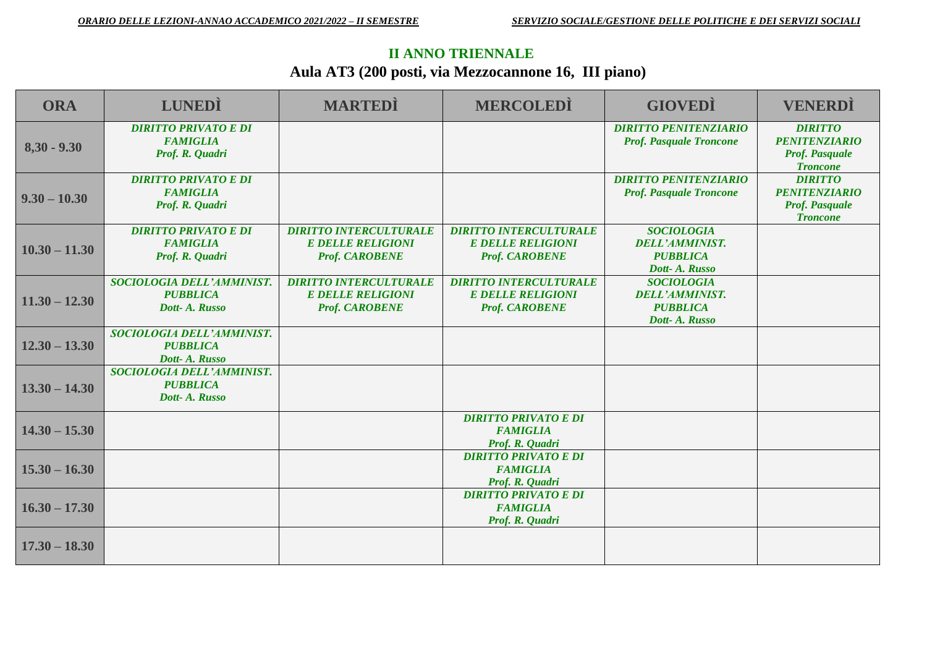### **II ANNO TRIENNALE**

# **Aula AT3 (200 posti, via Mezzocannone 16, III piano)**

| <b>ORA</b>      | <b>LUNEDI</b>                                                     | <b>MARTEDI</b>                                                                     | <b>MERCOLEDI</b>                                                                   | <b>GIOVEDI</b>                                                                  | <b>VENERDI</b>                                                                     |
|-----------------|-------------------------------------------------------------------|------------------------------------------------------------------------------------|------------------------------------------------------------------------------------|---------------------------------------------------------------------------------|------------------------------------------------------------------------------------|
| $8,30 - 9,30$   | <b>DIRITTO PRIVATO E DI</b><br><b>FAMIGLIA</b><br>Prof. R. Quadri |                                                                                    |                                                                                    | <b>DIRITTO PENITENZIARIO</b><br><b>Prof. Pasquale Troncone</b>                  | <b>DIRITTO</b><br><b>PENITENZIARIO</b><br><b>Prof. Pasquale</b><br><b>Troncone</b> |
| $9.30 - 10.30$  | <b>DIRITTO PRIVATO E DI</b><br><b>FAMIGLIA</b><br>Prof. R. Quadri |                                                                                    |                                                                                    | <b>DIRITTO PENITENZIARIO</b><br><b>Prof. Pasquale Troncone</b>                  | <b>DIRITTO</b><br><b>PENITENZIARIO</b><br><b>Prof. Pasquale</b><br><b>Troncone</b> |
| $10.30 - 11.30$ | <b>DIRITTO PRIVATO E DI</b><br><b>FAMIGLIA</b><br>Prof. R. Quadri | <b>DIRITTO INTERCULTURALE</b><br><b>E DELLE RELIGIONI</b><br><b>Prof. CAROBENE</b> | <b>DIRITTO INTERCULTURALE</b><br><b>E DELLE RELIGIONI</b><br><b>Prof. CAROBENE</b> | <b>SOCIOLOGIA</b><br><b>DELL'AMMINIST.</b><br><b>PUBBLICA</b><br>Dott- A. Russo |                                                                                    |
| $11.30 - 12.30$ | SOCIOLOGIA DELL'AMMINIST.<br><b>PUBBLICA</b><br>Dott- A. Russo    | <b>DIRITTO INTERCULTURALE</b><br><b>E DELLE RELIGIONI</b><br><b>Prof. CAROBENE</b> | <b>DIRITTO INTERCULTURALE</b><br><b>E DELLE RELIGIONI</b><br><b>Prof. CAROBENE</b> | <b>SOCIOLOGIA</b><br><b>DELL'AMMINIST.</b><br><b>PUBBLICA</b><br>Dott- A. Russo |                                                                                    |
| $12.30 - 13.30$ | SOCIOLOGIA DELL'AMMINIST.<br><b>PUBBLICA</b><br>Dott- A. Russo    |                                                                                    |                                                                                    |                                                                                 |                                                                                    |
| $13.30 - 14.30$ | SOCIOLOGIA DELL'AMMINIST.<br><b>PUBBLICA</b><br>Dott-A. Russo     |                                                                                    |                                                                                    |                                                                                 |                                                                                    |
| $14.30 - 15.30$ |                                                                   |                                                                                    | <b>DIRITTO PRIVATO E DI</b><br><b>FAMIGLIA</b><br>Prof. R. Quadri                  |                                                                                 |                                                                                    |
| $15.30 - 16.30$ |                                                                   |                                                                                    | <b>DIRITTO PRIVATO E DI</b><br><b>FAMIGLIA</b><br>Prof. R. Quadri                  |                                                                                 |                                                                                    |
| $16.30 - 17.30$ |                                                                   |                                                                                    | <b>DIRITTO PRIVATO E DI</b><br><b>FAMIGLIA</b><br>Prof. R. Quadri                  |                                                                                 |                                                                                    |
| $17.30 - 18.30$ |                                                                   |                                                                                    |                                                                                    |                                                                                 |                                                                                    |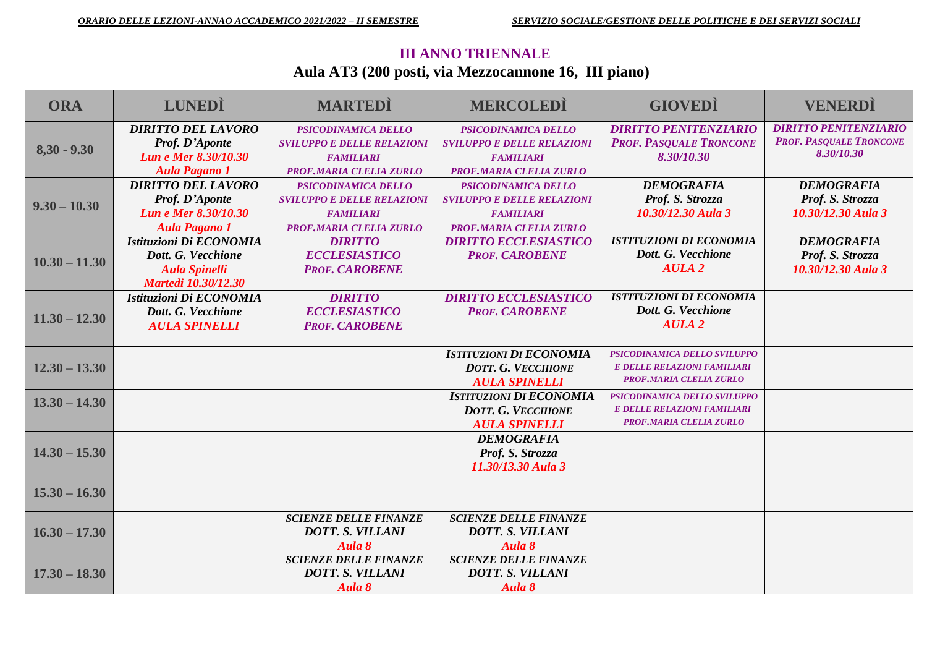### **III ANNO TRIENNALE Aula AT3 (200 posti, via Mezzocannone 16, III piano)**

| <b>ORA</b>      | <b>LUNEDI</b>               | <b>MARTEDI</b>                    | <b>MERCOLEDI</b>                  | <b>GIOVEDI</b>                 | <b>VENERDI</b>                 |
|-----------------|-----------------------------|-----------------------------------|-----------------------------------|--------------------------------|--------------------------------|
|                 | <b>DIRITTO DEL LAVORO</b>   | PSICODINAMICA DELLO               | <b>PSICODINAMICA DELLO</b>        | <b>DIRITTO PENITENZIARIO</b>   | <b>DIRITTO PENITENZIARIO</b>   |
|                 | Prof. D'Aponte              | <b>SVILUPPO E DELLE RELAZIONI</b> | <b>SVILUPPO E DELLE RELAZIONI</b> | <b>PROF. PASQUALE TRONCONE</b> | <b>PROF. PASQUALE TRONCONE</b> |
| $8,30 - 9.30$   | Lun e Mer 8.30/10.30        | <b>FAMILIARI</b>                  | <b>FAMILIARI</b>                  | 8.30/10.30                     | 8.30/10.30                     |
|                 | <b>Aula Pagano 1</b>        | <b>PROF.MARIA CLELIA ZURLO</b>    | PROF.MARIA CLELIA ZURLO           |                                |                                |
|                 | <b>DIRITTO DEL LAVORO</b>   | PSICODINAMICA DELLO               | PSICODINAMICA DELLO               | <b>DEMOGRAFIA</b>              | <b>DEMOGRAFIA</b>              |
| $9.30 - 10.30$  | Prof. D'Aponte              | <b>SVILUPPO E DELLE RELAZIONI</b> | <b>SVILUPPO E DELLE RELAZIONI</b> | Prof. S. Strozza               | Prof. S. Strozza               |
|                 | <b>Lun e Mer 8.30/10.30</b> | <b>FAMILIARI</b>                  | <b>FAMILIARI</b>                  | 10.30/12.30 Aula 3             | 10.30/12.30 Aula 3             |
|                 | <b>Aula Pagano 1</b>        | <b>PROF, MARIA CLELIA ZURLO</b>   | <b>PROF.MARIA CLELIA ZURLO</b>    |                                |                                |
|                 | Istituzioni Di ECONOMIA     | <b>DIRITTO</b>                    | <b>DIRITTO ECCLESIASTICO</b>      | <b>ISTITUZIONI DI ECONOMIA</b> | <b>DEMOGRAFIA</b>              |
|                 | Dott. G. Vecchione          | <b>ECCLESIASTICO</b>              | <b>PROF. CAROBENE</b>             | Dott. G. Vecchione             | Prof. S. Strozza               |
| $10.30 - 11.30$ | <b>Aula Spinelli</b>        | <b>PROF. CAROBENE</b>             |                                   | <b>AULA 2</b>                  | 10.30/12.30 Aula 3             |
|                 | <b>Martedi 10.30/12.30</b>  |                                   |                                   |                                |                                |
|                 | Istituzioni Di ECONOMIA     | <b>DIRITTO</b>                    | <b>DIRITTO ECCLESIASTICO</b>      | <b>ISTITUZIONI DI ECONOMIA</b> |                                |
|                 | Dott. G. Vecchione          | <b>ECCLESIASTICO</b>              | <b>PROF. CAROBENE</b>             | Dott. G. Vecchione             |                                |
| $11.30 - 12.30$ | <b>AULA SPINELLI</b>        | <b>PROF. CAROBENE</b>             |                                   | <b>AULA 2</b>                  |                                |
|                 |                             |                                   |                                   |                                |                                |
|                 |                             |                                   | <b>ISTITUZIONI DI ECONOMIA</b>    | PSICODINAMICA DELLO SVILUPPO   |                                |
| $12.30 - 13.30$ |                             |                                   | <b>DOTT. G. VECCHIONE</b>         | E DELLE RELAZIONI FAMILIARI    |                                |
|                 |                             |                                   | <b>AULA SPINELLI</b>              | <b>PROF.MARIA CLELIA ZURLO</b> |                                |
| $13.30 - 14.30$ |                             |                                   | <b>ISTITUZIONI DI ECONOMIA</b>    | PSICODINAMICA DELLO SVILUPPO   |                                |
|                 |                             |                                   | <b>DOTT. G. VECCHIONE</b>         | E DELLE RELAZIONI FAMILIARI    |                                |
|                 |                             |                                   | <b>AULA SPINELLI</b>              | PROF.MARIA CLELIA ZURLO        |                                |
|                 |                             |                                   | <b>DEMOGRAFIA</b>                 |                                |                                |
| $14.30 - 15.30$ |                             |                                   | Prof. S. Strozza                  |                                |                                |
|                 |                             |                                   | 11.30/13.30 Aula 3                |                                |                                |
| $15.30 - 16.30$ |                             |                                   |                                   |                                |                                |
|                 |                             |                                   |                                   |                                |                                |
|                 |                             |                                   |                                   |                                |                                |
| $16.30 - 17.30$ |                             | <b>SCIENZE DELLE FINANZE</b>      | <b>SCIENZE DELLE FINANZE</b>      |                                |                                |
|                 |                             | <b>DOTT. S. VILLANI</b>           | <b>DOTT. S. VILLANI</b>           |                                |                                |
|                 |                             | Aula 8                            | Aula 8                            |                                |                                |
|                 |                             | <b>SCIENZE DELLE FINANZE</b>      | <b>SCIENZE DELLE FINANZE</b>      |                                |                                |
| $17.30 - 18.30$ |                             | <b>DOTT. S. VILLANI</b>           | <b>DOTT. S. VILLANI</b>           |                                |                                |
|                 |                             | Aula 8                            | Aula 8                            |                                |                                |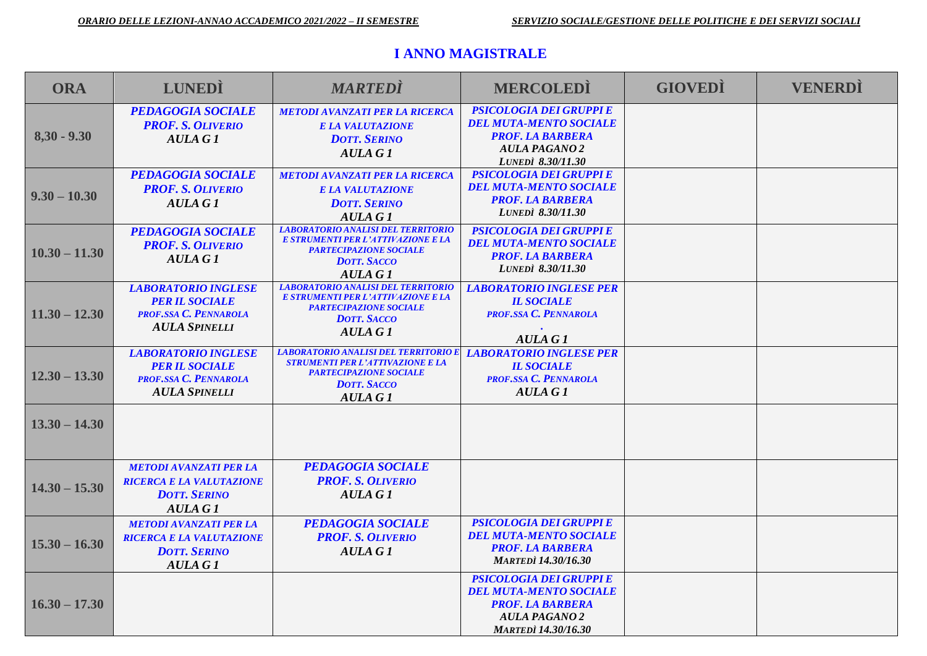#### **I ANNO MAGISTRALE**

| <b>ORA</b>      | <b>LUNEDI</b>                                                                                             | <b>MARTEDI</b>                                                                                                                                           | <b>MERCOLEDI</b>                                                                                                                                 | <b>GIOVEDI</b> | <b>VENERDI</b> |
|-----------------|-----------------------------------------------------------------------------------------------------------|----------------------------------------------------------------------------------------------------------------------------------------------------------|--------------------------------------------------------------------------------------------------------------------------------------------------|----------------|----------------|
| $8,30 - 9.30$   | <b>PEDAGOGIA SOCIALE</b><br><b>PROF. S. OLIVERIO</b><br><b>AULA G1</b>                                    | <b>METODI AVANZATI PER LA RICERCA</b><br><b>E LA VALUTAZIONE</b><br><b>DOTT. SERINO</b><br>AULA G1                                                       | <b>PSICOLOGIA DEI GRUPPI E</b><br><b>DEL MUTA-MENTO SOCIALE</b><br><b>PROF. LA BARBERA</b><br><b>AULA PAGANO 2</b><br>LUNEDI 8.30/11.30          |                |                |
| $9.30 - 10.30$  | <b>PEDAGOGIA SOCIALE</b><br><b>PROF. S. OLIVERIO</b><br><b>AULA G1</b>                                    | <b>METODI AVANZATI PER LA RICERCA</b><br><b>E LA VALUTAZIONE</b><br><b>DOTT. SERINO</b><br>AULA G1                                                       | <b>PSICOLOGIA DEI GRUPPI E</b><br><b>DEL MUTA-MENTO SOCIALE</b><br><b>PROF. LA BARBERA</b><br><b>LUNEDI</b> 8.30/11.30                           |                |                |
| $10.30 - 11.30$ | <b>PEDAGOGIA SOCIALE</b><br><b>PROF. S. OLIVERIO</b><br><b>AULA G1</b>                                    | <b>LABORATORIO ANALISI DEL TERRITORIO</b><br>E STRUMENTI PER L'ATTIVAZIONE E LA<br><b>PARTECIPAZIONE SOCIALE</b><br><b>DOTT, SACCO</b><br><b>AULA G1</b> | <b>PSICOLOGIA DEI GRUPPI E</b><br><b>DEL MUTA-MENTO SOCIALE</b><br><b>PROF. LA BARBERA</b><br><b>LUNEDI</b> 8.30/11.30                           |                |                |
| $11.30 - 12.30$ | <b>LABORATORIO INGLESE</b><br><b>PER IL SOCIALE</b><br>PROF.SSA C. PENNAROLA<br><b>AULA SPINELLI</b>      | <b>LABORATORIO ANALISI DEL TERRITORIO</b><br>E STRUMENTI PER L'ATTIVAZIONE E LA<br><b>PARTECIPAZIONE SOCIALE</b><br><b>DOTT. SACCO</b><br><b>AULA G1</b> | <b>LABORATORIO INGLESE PER</b><br><b>IL SOCIALE</b><br><b>PROF.SSA C. PENNAROLA</b><br><b>AULA G1</b>                                            |                |                |
| $12.30 - 13.30$ | <b>LABORATORIO INGLESE</b><br><b>PER IL SOCIALE</b><br>PROF.SSA C. PENNAROLA<br><b>AULA SPINELLI</b>      | <b>LABORATORIO ANALISI DEL TERRITORIO E</b><br><b>STRUMENTI PER L'ATTIVAZIONE E LA</b><br><b>PARTECIPAZIONE SOCIALE</b><br><b>DOTT, SACCO</b><br>AULA G1 | <b>LABORATORIO INGLESE PER</b><br><b>IL SOCIALE</b><br>PROF.SSA C. PENNAROLA<br><b>AULA G1</b>                                                   |                |                |
| $13.30 - 14.30$ |                                                                                                           |                                                                                                                                                          |                                                                                                                                                  |                |                |
| $14.30 - 15.30$ | <b>METODI AVANZATI PER LA</b><br><b>RICERCA E LA VALUTAZIONE</b><br><b>DOTT. SERINO</b><br><b>AULA G1</b> | <b>PEDAGOGIA SOCIALE</b><br><b>PROF. S. OLIVERIO</b><br>AULA G 1                                                                                         |                                                                                                                                                  |                |                |
| $15.30 - 16.30$ | <b>METODI AVANZATI PER LA</b><br><b>RICERCA E LA VALUTAZIONE</b><br><b>DOTT. SERINO</b><br><b>AULA G1</b> | <b>PEDAGOGIA SOCIALE</b><br><b>PROF. S. OLIVERIO</b><br>AULA G1                                                                                          | <b>PSICOLOGIA DEI GRUPPI E</b><br><b>DEL MUTA-MENTO SOCIALE</b><br><b>PROF. LA BARBERA</b><br><b>MARTEDI</b> 14.30/16.30                         |                |                |
| $16.30 - 17.30$ |                                                                                                           |                                                                                                                                                          | <b>PSICOLOGIA DEI GRUPPI E</b><br><b>DEL MUTA-MENTO SOCIALE</b><br><b>PROF. LA BARBERA</b><br><b>AULA PAGANO 2</b><br><b>MARTEDI</b> 14.30/16.30 |                |                |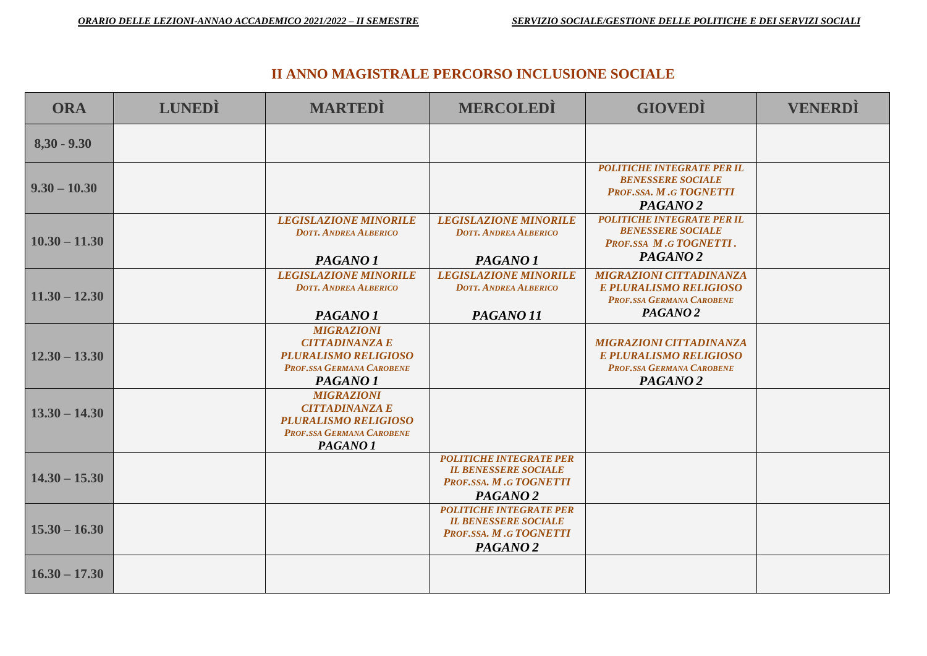#### **II ANNO MAGISTRALE PERCORSO INCLUSIONE SOCIALE**

| <b>ORA</b>      | <b>LUNEDI</b> | <b>MARTEDI</b>                                                                                                                       | <b>MERCOLEDI</b>                                                                                               | <b>GIOVEDI</b>                                                                                                      | <b>VENERDI</b> |
|-----------------|---------------|--------------------------------------------------------------------------------------------------------------------------------------|----------------------------------------------------------------------------------------------------------------|---------------------------------------------------------------------------------------------------------------------|----------------|
| $8,30 - 9.30$   |               |                                                                                                                                      |                                                                                                                |                                                                                                                     |                |
| $9.30 - 10.30$  |               |                                                                                                                                      |                                                                                                                | <b>POLITICHE INTEGRATE PER IL</b><br><b>BENESSERE SOCIALE</b><br>PROF.SSA. M.G TOGNETTI<br>PAGANO <sub>2</sub>      |                |
| $10.30 - 11.30$ |               | <b>LEGISLAZIONE MINORILE</b><br><b>DOTT, ANDREA ALBERICO</b><br>PAGANO <sub>1</sub>                                                  | <b>LEGISLAZIONE MINORILE</b><br><b>DOTT, ANDREA ALBERICO</b><br>PAGANO <sub>1</sub>                            | <b>POLITICHE INTEGRATE PER IL</b><br><b>BENESSERE SOCIALE</b><br>PROF.SSA M.G TOGNETTI.<br>PAGANO <sub>2</sub>      |                |
| $11.30 - 12.30$ |               | <b>LEGISLAZIONE MINORILE</b><br><b>DOTT, ANDREA ALBERICO</b><br>PAGANO <sub>1</sub>                                                  | <b>LEGISLAZIONE MINORILE</b><br><b>DOTT. ANDREA ALBERICO</b><br>PAGANO <sub>11</sub>                           | <b>MIGRAZIONI CITTADINANZA</b><br>E PLURALISMO RELIGIOSO<br>PROF.SSA GERMANA CAROBENE<br>PAGANO <sub>2</sub>        |                |
| $12.30 - 13.30$ |               | <b>MIGRAZIONI</b><br><b>CITTADINANZA E</b><br><b>PLURALISMO RELIGIOSO</b><br>PROF.SSA GERMANA CAROBENE<br>PAGANO <sub>1</sub>        |                                                                                                                | <b>MIGRAZIONI CITTADINANZA</b><br><b>E PLURALISMO RELIGIOSO</b><br>PROF.SSA GERMANA CAROBENE<br>PAGANO <sub>2</sub> |                |
| $13.30 - 14.30$ |               | <b>MIGRAZIONI</b><br><b>CITTADINANZA E</b><br><b>PLURALISMO RELIGIOSO</b><br><b>PROF.SSA GERMANA CAROBENE</b><br>PAGANO <sub>1</sub> |                                                                                                                |                                                                                                                     |                |
| $14.30 - 15.30$ |               |                                                                                                                                      | <b>POLITICHE INTEGRATE PER</b><br><b>IL BENESSERE SOCIALE</b><br>PROF.SSA. M.G TOGNETTI<br>PAGANO <sub>2</sub> |                                                                                                                     |                |
| $15.30 - 16.30$ |               |                                                                                                                                      | <b>POLITICHE INTEGRATE PER</b><br><b>IL BENESSERE SOCIALE</b><br>PROF.SSA. M.G TOGNETTI<br>PAGANO <sub>2</sub> |                                                                                                                     |                |
| $16.30 - 17.30$ |               |                                                                                                                                      |                                                                                                                |                                                                                                                     |                |